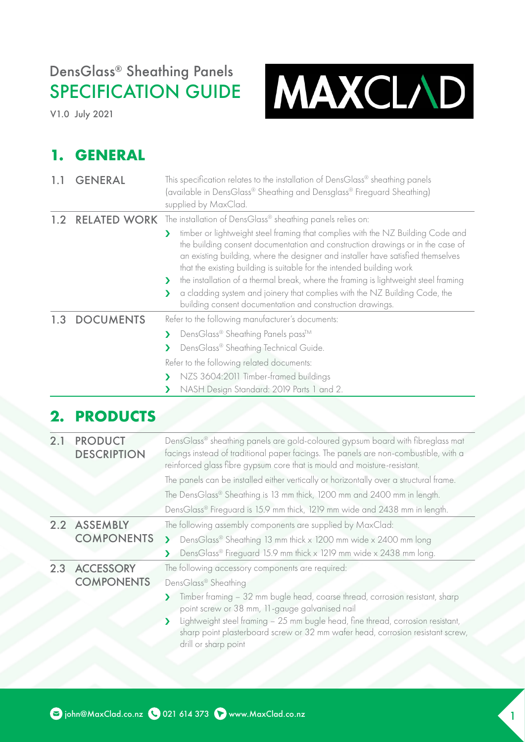# DensGlass® Sheathing Panels SPECIFICATION GUIDE

V1.0 July 2021



#### **1. GENERAL**

| 1.1 | <b>GENERAL</b>                       | This specification relates to the installation of DensGlass® sheathing panels<br>(available in DensGlass® Sheathing and Densglass® Fireguard Sheathing)<br>supplied by MaxClad.                                                                                                                                                                                                                                                                                                                                                                                                 |  |  |
|-----|--------------------------------------|---------------------------------------------------------------------------------------------------------------------------------------------------------------------------------------------------------------------------------------------------------------------------------------------------------------------------------------------------------------------------------------------------------------------------------------------------------------------------------------------------------------------------------------------------------------------------------|--|--|
| 1.2 |                                      | <b>RELATED WORK</b> The installation of DensGlass® sheathing panels relies on:                                                                                                                                                                                                                                                                                                                                                                                                                                                                                                  |  |  |
|     |                                      | timber or lightweight steel framing that complies with the NZ Building Code and<br>У<br>the building consent documentation and construction drawings or in the case of<br>an existing building, where the designer and installer have satisfied themselves<br>that the existing building is suitable for the intended building work<br>the installation of a thermal break, where the framing is lightweight steel framing<br>⋗<br>a cladding system and joinery that complies with the NZ Building Code, the<br>⋗<br>building consent documentation and construction drawings. |  |  |
| 1.3 | <b>DOCUMENTS</b>                     | Refer to the following manufacturer's documents:                                                                                                                                                                                                                                                                                                                                                                                                                                                                                                                                |  |  |
|     |                                      | DensGlass® Sheathing Panels pass™<br>⋗                                                                                                                                                                                                                                                                                                                                                                                                                                                                                                                                          |  |  |
|     |                                      | DensGlass® Sheathing Technical Guide.<br>У                                                                                                                                                                                                                                                                                                                                                                                                                                                                                                                                      |  |  |
|     |                                      | Refer to the following related documents:                                                                                                                                                                                                                                                                                                                                                                                                                                                                                                                                       |  |  |
|     |                                      | NZS 3604:2011 Timber-framed buildings<br>⋗                                                                                                                                                                                                                                                                                                                                                                                                                                                                                                                                      |  |  |
|     |                                      | NASH Design Standard: 2019 Parts 1 and 2.                                                                                                                                                                                                                                                                                                                                                                                                                                                                                                                                       |  |  |
| 2.  | <b>PRODUCTS</b>                      |                                                                                                                                                                                                                                                                                                                                                                                                                                                                                                                                                                                 |  |  |
| 2.1 | <b>PRODUCT</b><br><b>DESCRIPTION</b> | DensGlass® sheathing panels are gold-coloured gypsum board with fibreglass mat<br>facings instead of traditional paper facings. The panels are non-combustible, with a<br>reinforced glass fibre gypsum core that is mould and moisture-resistant.                                                                                                                                                                                                                                                                                                                              |  |  |
|     |                                      | The panels can be installed either vertically or horizontally over a structural frame.                                                                                                                                                                                                                                                                                                                                                                                                                                                                                          |  |  |
|     |                                      | The DensGlass® Sheathing is 13 mm thick, 1200 mm and 2400 mm in length.                                                                                                                                                                                                                                                                                                                                                                                                                                                                                                         |  |  |
|     |                                      | DensGlass® Fireguard is 15.9 mm thick, 1219 mm wide and 2438 mm in length.                                                                                                                                                                                                                                                                                                                                                                                                                                                                                                      |  |  |
| 2.2 | <b>ASSEMBLY</b>                      | The following assembly components are supplied by MaxClad:                                                                                                                                                                                                                                                                                                                                                                                                                                                                                                                      |  |  |
|     | <b>COMPONENTS</b>                    | DensGlass® Sheathing 13 mm thick x 1200 mm wide x 2400 mm long<br>$\blacktriangleright$                                                                                                                                                                                                                                                                                                                                                                                                                                                                                         |  |  |
|     |                                      | DensGlass® Fireguard 15.9 mm thick x 1219 mm wide x 2438 mm long.                                                                                                                                                                                                                                                                                                                                                                                                                                                                                                               |  |  |
|     | 2.3 ACCESSORY<br><b>COMPONENTS</b>   | The following accessory components are required:                                                                                                                                                                                                                                                                                                                                                                                                                                                                                                                                |  |  |
|     |                                      | DensGlass® Sheathing                                                                                                                                                                                                                                                                                                                                                                                                                                                                                                                                                            |  |  |
|     |                                      | Timber framing - 32 mm bugle head, coarse thread, corrosion resistant, sharp<br>point screw or 38 mm, 11-gauge galvanised nail                                                                                                                                                                                                                                                                                                                                                                                                                                                  |  |  |
|     |                                      | Lightweight steel framing - 25 mm bugle head, fine thread, corrosion resistant,<br>Σ<br>sharp point plasterboard screw or 32 mm wafer head, corrosion resistant screw,<br>drill or sharp point                                                                                                                                                                                                                                                                                                                                                                                  |  |  |
|     |                                      |                                                                                                                                                                                                                                                                                                                                                                                                                                                                                                                                                                                 |  |  |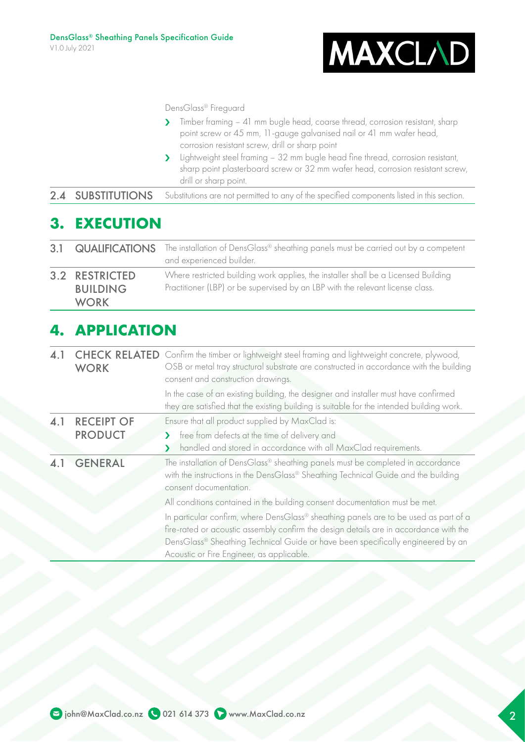

DensGlass® Fireguard

| $\mathbf{\Sigma}$ |                          | Timber framing – 41 mm bugle head, coarse thread, corrosion resistant, sharp<br>point screw or 45 mm, 11-gauge galvanised nail or 41 mm wafer head,<br>corrosion resistant screw, drill or sharp point |
|-------------------|--------------------------|--------------------------------------------------------------------------------------------------------------------------------------------------------------------------------------------------------|
|                   |                          | Lightweight steel framing - 32 mm bugle head fine thread, corrosion resistant,<br>У<br>sharp point plasterboard screw or 32 mm wafer head, corrosion resistant screw,<br>drill or sharp point.         |
|                   | <b>2.4 SUBSTITUTIONS</b> | Substitutions are not permitted to any of the specified components listed in this section.                                                                                                             |

## **3. EXECUTION**

|                                                  |  | 3.1 QUALIFICATIONS The installation of DensGlass® sheathing panels must be carried out by a competent<br>and experienced builder.                                    |  |
|--------------------------------------------------|--|----------------------------------------------------------------------------------------------------------------------------------------------------------------------|--|
| 3.2 RESTRICTED<br><b>BUILDING</b><br><b>WORK</b> |  | Where restricted building work applies, the installer shall be a Licensed Building<br>Practitioner (LBP) or be supervised by an LBP with the relevant license class. |  |

#### **4. APPLICATION**

| 4.1                                   | <b>CHECK RELATED</b><br><b>WORK</b> | Confirm the timber or lightweight steel framing and lightweight concrete, plywood,<br>OSB or metal tray structural substrate are constructed in accordance with the building<br>consent and construction drawings.                                                                                            |
|---------------------------------------|-------------------------------------|---------------------------------------------------------------------------------------------------------------------------------------------------------------------------------------------------------------------------------------------------------------------------------------------------------------|
|                                       |                                     | In the case of an existing building, the designer and installer must have confirmed<br>they are satisfied that the existing building is suitable for the intended building work.                                                                                                                              |
| 4.1                                   | <b>RECEIPT OF</b>                   | Ensure that all product supplied by MaxClad is:                                                                                                                                                                                                                                                               |
|                                       | <b>PRODUCT</b>                      | free from defects at the time of delivery and                                                                                                                                                                                                                                                                 |
|                                       |                                     | handled and stored in accordance with all MaxClad requirements.                                                                                                                                                                                                                                               |
| 4.1 GENERAL<br>consent documentation. |                                     | The installation of DensGlass® sheathing panels must be completed in accordance<br>with the instructions in the DensGlass® Sheathing Technical Guide and the building                                                                                                                                         |
|                                       |                                     | All conditions contained in the building consent documentation must be met.                                                                                                                                                                                                                                   |
|                                       |                                     | In particular confirm, where DensGlass® sheathing panels are to be used as part of a<br>fire-rated or acoustic assembly confirm the design details are in accordance with the<br>DensGlass® Sheathing Technical Guide or have been specifically engineered by an<br>Acoustic or Fire Engineer, as applicable. |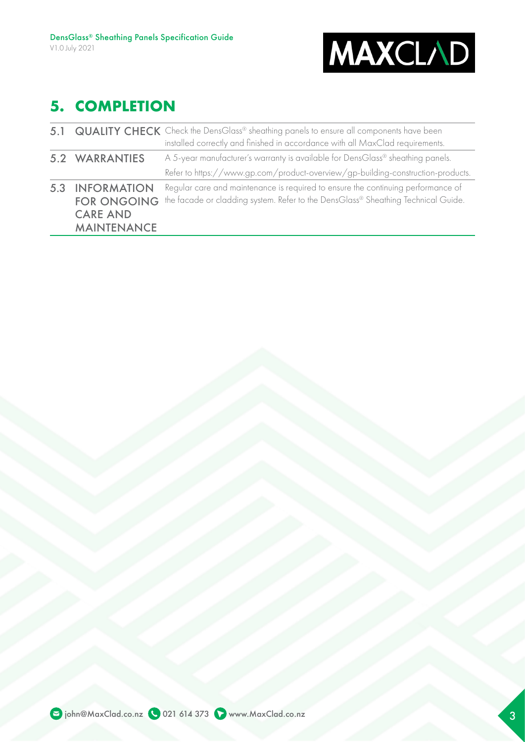

### **5. COMPLETION**

|                                                                                       | 5.1 QUALITY CHECK Check the DensGlass® sheathing panels to ensure all components have been<br>installed correctly and finished in accordance with all MaxClad requirements. |
|---------------------------------------------------------------------------------------|-----------------------------------------------------------------------------------------------------------------------------------------------------------------------------|
| 5.2 WARRANTIES                                                                        | A 5-year manufacturer's warranty is available for DensGlass® sheathing panels.<br>Refer to https://www.gp.com/product-overview/gp-building-construction-products.           |
| <b>5.3 INFORMATION</b><br><b>FOR ONGOING</b><br><b>CARE AND</b><br><b>MAINTENANCE</b> | Regular care and maintenance is required to ensure the continuing performance of<br>the facade or cladding system. Refer to the DensGlass® Sheathing Technical Guide.       |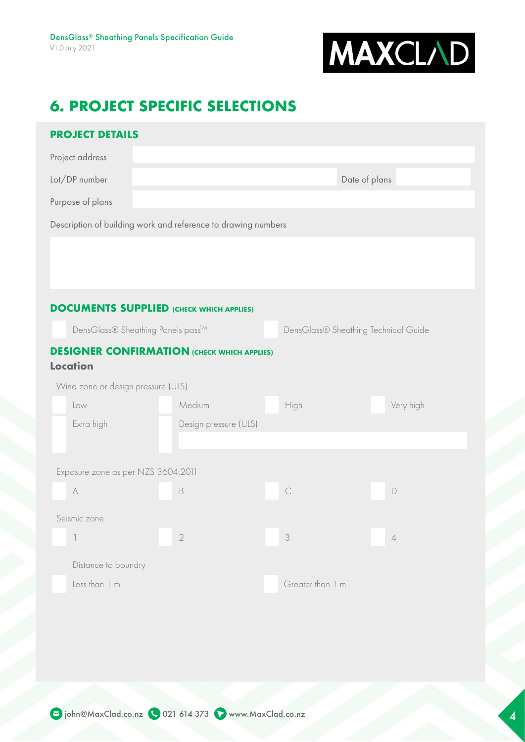

### **6. PROJECT SPECIFIC SELECTIONS**

| <b>PROJECT DETAILS</b>                                                |                                                                           |                  |                |  |  |
|-----------------------------------------------------------------------|---------------------------------------------------------------------------|------------------|----------------|--|--|
| Project address                                                       |                                                                           |                  |                |  |  |
| Lot/DP number                                                         |                                                                           |                  | Date of plans  |  |  |
| Purpose of plans                                                      |                                                                           |                  |                |  |  |
| Description of building work and reference to drawing numbers         |                                                                           |                  |                |  |  |
|                                                                       |                                                                           |                  |                |  |  |
|                                                                       |                                                                           |                  |                |  |  |
|                                                                       |                                                                           |                  |                |  |  |
| <b>DOCUMENTS SUPPLIED (CHECK WHICH APPLIES)</b>                       |                                                                           |                  |                |  |  |
|                                                                       | DensGlass® Sheathing Panels pass™<br>DensGlass® Sheathing Technical Guide |                  |                |  |  |
| <b>DESIGNER CONFIRMATION (CHECK WHICH APPLIES)</b><br><b>Location</b> |                                                                           |                  |                |  |  |
| Wind zone or design pressure (ULS)                                    |                                                                           |                  |                |  |  |
| Low                                                                   | Medium                                                                    | High             | Very high      |  |  |
| Extra high                                                            | Design pressure (ULS)                                                     |                  |                |  |  |
|                                                                       |                                                                           |                  |                |  |  |
| Exposure zone as per NZS 3604:2011                                    |                                                                           |                  |                |  |  |
| $\forall$                                                             | $\,$ B                                                                    | $\mathcal{C}$    | $\mathsf D$    |  |  |
| Seismic zone                                                          |                                                                           |                  |                |  |  |
| $\ensuremath{\mathbb{I}}$                                             | $\sqrt{2}$                                                                | $\mathcal S$     | $\overline{4}$ |  |  |
| Distance to boundry                                                   |                                                                           |                  |                |  |  |
| Less than 1 m                                                         |                                                                           | Greater than 1 m |                |  |  |